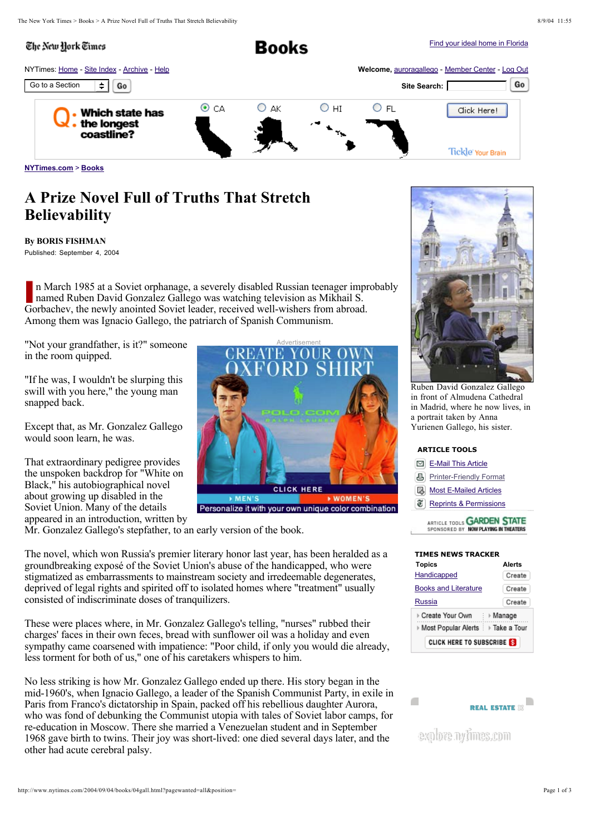| Che New York Eimes                          |             | <b>Books</b> |                                     |      | <b>I</b> IIIU YUUI IUCAI IIUIIIC III I IUIIUA    |
|---------------------------------------------|-------------|--------------|-------------------------------------|------|--------------------------------------------------|
| NYTimes: Home - Site Index - Archive - Help |             |              |                                     |      | Welcome, auroragallego - Member Center - Log Out |
| Go to a Section<br>Go                       |             |              |                                     |      | Go<br>Site Search:                               |
| Which state has<br>the longest              | $\odot$ ca. | О ак         | HI<br>$\left( \quad \right)$<br>- 4 | O fl | Click Here!                                      |
| coastline?                                  |             |              |                                     |      | Tickle Your Brain                                |

**NYTimes.com** > **Books**

لمعاد

# A Prize Novel Full of Truths That Stretch **Believability**

By BORIS FISHMAN

Published: September 4, 2004

n March 1985 at a Soviet orphanage, a severely disabled Russian teenager improbably named Ruben David Gonzalez Gallego was watching television as Mikhail S. Gorbachev, the newly anointed Soviet leader, received well-wishers from abroad. Among them was Ignacio Gallego, the patriarch of Spanish Communism.

"Not your grandfather, is it?" someone in the room quipped.

"If he was, I wouldn't be slurping this swill with you here," the young man snapped back.

Except that, as Mr. Gonzalez Gallego would soon learn, he was.

That extraordinary pedigree provides the unspoken backdrop for "White on Black," his autobiographical novel about growing up disabled in the Soviet Union. Many of the details appeared in an introduction, written by

Mr. Gonzalez Gallego's stepfather, to an early version of the book.

The novel, which won Russia's premier literary honor last year, has been heralded as a groundbreaking exposé of the Soviet Union's abuse of the handicapped, who were stigmatized as embarrassments to mainstream society and irredeemable degenerates, deprived of legal rights and spirited off to isolated homes where "treatment" usually consisted of indiscriminate doses of tranquilizers.

These were places where, in Mr. Gonzalez Gallego's telling, "nurses" rubbed their charges' faces in their own feces, bread with sunflower oil was a holiday and even sympathy came coarsened with impatience: "Poor child, if only you would die already, less torment for both of us," one of his caretakers whispers to him.

No less striking is how Mr. Gonzalez Gallego ended up there. His story began in the mid-1960's, when Ignacio Gallego, a leader of the Spanish Communist Party, in exile in Paris from Franco's dictatorship in Spain, packed off his rebellious daughter Aurora, who was fond of debunking the Communist utopia with tales of Soviet labor camps, for re-education in Moscow. There she married a Venezuelan student and in September 1968 gave birth to twins. Their joy was short-lived: one died several days later, and the other had acute cerebral palsy.





Find your ideal home in Florida

Ruben David Gonzalez Gallego in front of Almudena Cathedral in Madrid, where he now lives, in a portrait taken by Anna Yurienen Gallego, his sister.

# **ARTICLE TOOLS**

| <b>⊠</b> E-Mail This Article      |
|-----------------------------------|
| <b>图</b> Printer-Friendly Format  |
| 园 Most E-Mailed Articles          |
| <b>Reprints &amp; Permissions</b> |

ARTICLE TOOLS GARDEN STATE

# **TIMES NEWS TRACKER**

| <b>Topics</b>                                                        | Alerts |  |  |  |  |
|----------------------------------------------------------------------|--------|--|--|--|--|
| Handicapped                                                          | Create |  |  |  |  |
| <b>Books and Literature</b>                                          | Create |  |  |  |  |
| Russia                                                               | Create |  |  |  |  |
| Create Your Own<br>→ Manage<br>→ Most Popular Alerts : → Take a Tour |        |  |  |  |  |
|                                                                      |        |  |  |  |  |
| <b>CLICK HERE TO SUBSCRIBE</b>                                       |        |  |  |  |  |



explore nyfimes.com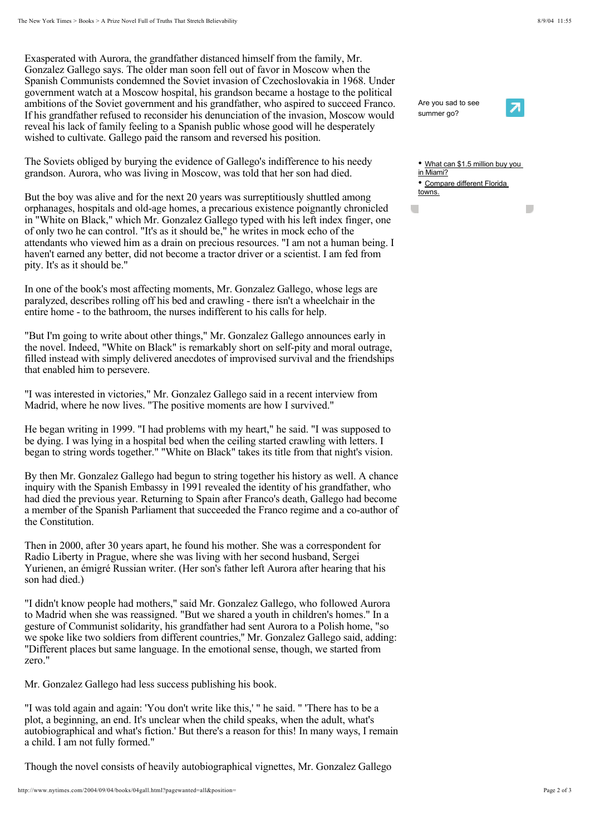Exasperated with Aurora, the grandfather distanced himself from the family, Mr. Gonzalez Gallego says. The older man soon fell out of favor in Moscow when the Spanish Communists condemned the Soviet invasion of Czechoslovakia in 1968. Under government watch at a Moscow hospital, his grandson became a hostage to the political ambitions of the Soviet government and his grandfather, who aspired to succeed Franco. If his grandfather refused to reconsider his denunciation of the invasion, Moscow would reveal his lack of family feeling to a Spanish public whose good will he desperately wished to cultivate. Gallego paid the ransom and reversed his position.

The Soviets obliged by burying the evidence of Gallego's indifference to his needy grandson. Aurora, who was living in Moscow, was told that her son had died.

But the boy was alive and for the next 20 years was surreptitiously shuttled among orphanages, hospitals and old-age homes, a precarious existence poignantly chronicled in "White on Black," which Mr. Gonzalez Gallego typed with his left index finger, one of only two he can control. "It's as it should be," he writes in mock echo of the attendants who viewed him as a drain on precious resources. "I am not a human being. I haven't earned any better, did not become a tractor driver or a scientist. I am fed from pity. It's as it should be."

In one of the book's most affecting moments, Mr. Gonzalez Gallego, whose legs are paralyzed, describes rolling off his bed and crawling - there isn't a wheelchair in the entire home - to the bathroom, the nurses indifferent to his calls for help.

"But I'm going to write about other things," Mr. Gonzalez Gallego announces early in the novel. Indeed, "White on Black" is remarkably short on self-pity and moral outrage, filled instead with simply delivered anecdotes of improvised survival and the friendships that enabled him to persevere.

"I was interested in victories," Mr. Gonzalez Gallego said in a recent interview from Madrid, where he now lives. "The positive moments are how I survived."

He began writing in 1999. "I had problems with my heart," he said. "I was supposed to be dying. I was lying in a hospital bed when the ceiling started crawling with letters. I began to string words together." "White on Black" takes its title from that night's vision.

By then Mr. Gonzalez Gallego had begun to string together his history as well. A chance inquiry with the Spanish Embassy in 1991 revealed the identity of his grandfather, who had died the previous year. Returning to Spain after Franco's death, Gallego had become a member of the Spanish Parliament that succeeded the Franco regime and a co-author of the Constitution.

Then in 2000, after 30 years apart, he found his mother. She was a correspondent for Radio Liberty in Prague, where she was living with her second husband, Sergei Yurienen, an émigré Russian writer. (Her son's father left Aurora after hearing that his son had died.)

"I didn't know people had mothers," said Mr. Gonzalez Gallego, who followed Aurora to Madrid when she was reassigned. "But we shared a youth in children's homes." In a gesture of Communist solidarity, his grandfather had sent Aurora to a Polish home, "so we spoke like two soldiers from different countries,'' Mr. Gonzalez Gallego said, adding: "Different places but same language. In the emotional sense, though, we started from zero."

Mr. Gonzalez Gallego had less success publishing his book.

"I was told again and again: 'You don't write like this,' " he said. " 'There has to be a plot, a beginning, an end. It's unclear when the child speaks, when the adult, what's autobiographical and what's fiction.' But there's a reason for this! In many ways, I remain a child. I am not fully formed."

Though the novel consists of heavily autobiographical vignettes, Mr. Gonzalez Gallego

Are you sad to see summer go?



 $\overline{\phantom{a}}$ 

|  |  | • What can \$1.5 million buy you |  |
|--|--|----------------------------------|--|
|  |  |                                  |  |

in Miami?

 $\overline{\phantom{a}}$ 

• Compare different Florida towns.